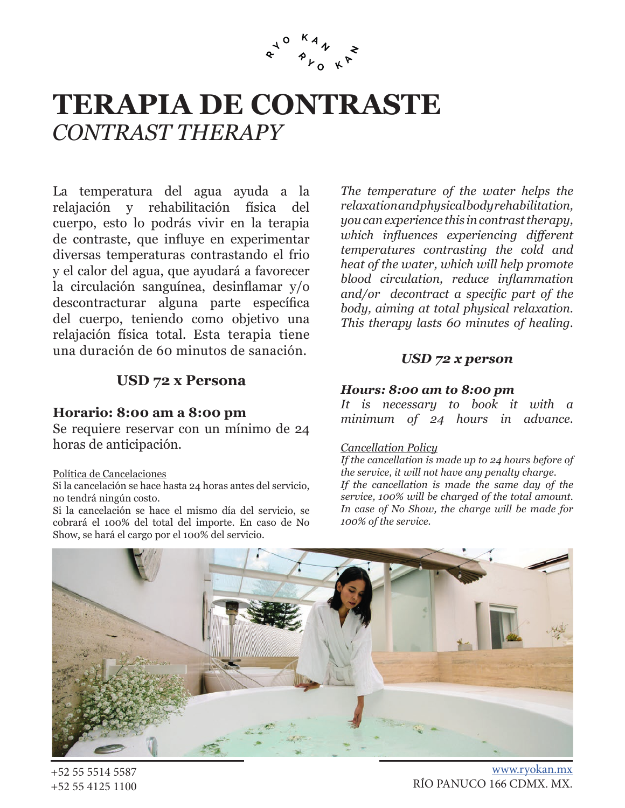

# **TERAPIA DE CONTRASTE** *CONTRAST THERAPY*

La temperatura del agua ayuda a la relajación y rehabilitación física del cuerpo, esto lo podrás vivir en la terapia de contraste, que influye en experimentar diversas temperaturas contrastando el frio y el calor del agua, que ayudará a favorecer la circulación sanguínea, desinflamar y/o descontracturar alguna parte específica del cuerpo, teniendo como objetivo una relajación física total. Esta terapia tiene una duración de 60 minutos de sanación.

*The temperature of the water helps the relaxation and physical body rehabilitation, you can experience this in contrast therapy, which influences experiencing different temperatures contrasting the cold and heat of the water, which will help promote blood circulation, reduce inflammation and/or decontract a specific part of the body, aiming at total physical relaxation. This therapy lasts 60 minutes of healing.*

## *USD 72 x person*

# **USD 72 x Persona**

## **Horario: 8:00 am a 8:00 pm**

Se requiere reservar con un mínimo de 24 horas de anticipación.

#### Política de Cancelaciones

Si la cancelación se hace hasta 24 horas antes del servicio, no tendrá ningún costo.

Si la cancelación se hace el mismo día del servicio, se cobrará el 100% del total del importe. En caso de No Show, se hará el cargo por el 100% del servicio.

### *Hours: 8:00 am to 8:00 pm*

*It is necessary to book it with a minimum of 24 hours in advance.*

### *Cancellation Policy*

*If the cancellation is made up to 24 hours before of the service, it will not have any penalty charge. If the cancellation is made the same day of the service, 100% will be charged of the total amount. In case of No Show, the charge will be made for 100% of the service.*



+52 55 5514 5587 +52 55 4125 1100

www.ryokan.mx RÍO PANUCO 166 CDMX. MX.